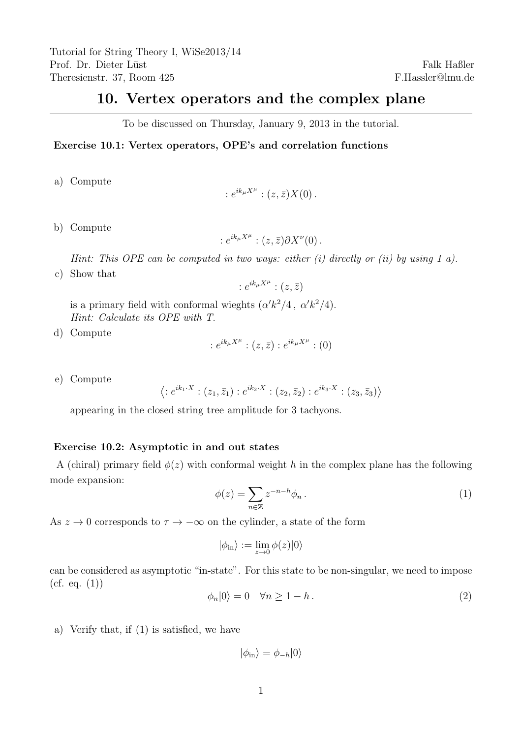## 10. Vertex operators and the complex plane

To be discussed on Thursday, January 9, 2013 in the tutorial.

## Exercise 10.1: Vertex operators, OPE's and correlation functions

a) Compute

$$
:e^{ik_{\mu}X^{\mu}}:(z,\bar{z})X(0).
$$

b) Compute

$$
:e^{ik_{\mu}X^{\mu}}:(z,\bar{z})\partial X^{\nu}(0).
$$

Hint: This OPE can be computed in two ways: either  $(i)$  directly or  $(ii)$  by using 1 a).

c) Show that

$$
:e^{ik_{\mu}X^{\mu}}:(z,\bar{z})
$$

is a primary field with conformal wieghts  $(\alpha' k^2/4, \alpha' k^2/4)$ . Hint: Calculate its OPE with T.

d) Compute

$$
:e^{ik_{\mu}X^{\mu}}:(z,\bar{z}):e^{ik_{\mu}X^{\mu}}:(0)
$$

e) Compute

$$
\left\langle :e^{ik_1\cdot X}:(z_1,\bar{z}_1):e^{ik_2\cdot X}:(z_2,\bar{z}_2):e^{ik_3\cdot X}:(z_3,\bar{z}_3)\right\rangle
$$

appearing in the closed string tree amplitude for 3 tachyons.

## Exercise 10.2: Asymptotic in and out states

A (chiral) primary field  $\phi(z)$  with conformal weight h in the complex plane has the following mode expansion:

$$
\phi(z) = \sum_{n \in \mathbb{Z}} z^{-n-h} \phi_n \,. \tag{1}
$$

As  $z \to 0$  corresponds to  $\tau \to -\infty$  on the cylinder, a state of the form

$$
|\phi_{\rm in}\rangle:=\lim_{z\to 0}\phi(z)|0\rangle
$$

can be considered as asymptotic "in-state". For this state to be non-singular, we need to impose  $(cf. eq. (1))$ 

$$
\phi_n|0\rangle = 0 \quad \forall n \ge 1 - h. \tag{2}
$$

a) Verify that, if (1) is satisfied, we have

 $|\phi_{\rm in}\rangle = \phi_{-h}|0\rangle$ 

Falk Haßler F.Hassler@lmu.de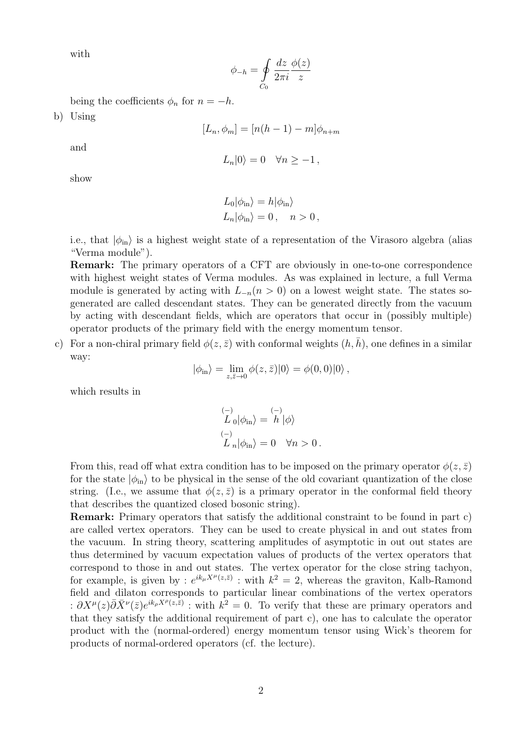with

$$
\phi_{-h} = \oint\limits_{C_0} \frac{dz}{2\pi i} \frac{\phi(z)}{z}
$$

being the coefficients  $\phi_n$  for  $n = -h$ .

b) Using

$$
[L_n, \phi_m] = [n(h-1) - m]\phi_{n+m}
$$

and

$$
L_n|0\rangle = 0 \quad \forall n \ge -1 \,,
$$

show

$$
L_0|\phi_{\rm in}\rangle = h|\phi_{\rm in}\rangle
$$
  

$$
L_n|\phi_{\rm in}\rangle = 0, \quad n > 0,
$$

i.e., that  $|\phi_{\rm in}\rangle$  is a highest weight state of a representation of the Virasoro algebra (alias "Verma module").

Remark: The primary operators of a CFT are obviously in one-to-one correspondence with highest weight states of Verma modules. As was explained in lecture, a full Verma module is generated by acting with  $L_{-n}(n > 0)$  on a lowest weight state. The states sogenerated are called descendant states. They can be generated directly from the vacuum by acting with descendant fields, which are operators that occur in (possibly multiple) operator products of the primary field with the energy momentum tensor.

c) For a non-chiral primary field  $\phi(z,\bar{z})$  with conformal weights  $(h,\bar{h})$ , one defines in a similar way:

$$
|\phi_{\rm in}\rangle = \lim_{z,\bar{z}\to 0} \phi(z,\bar{z})|0\rangle = \phi(0,0)|0\rangle ,
$$

which results in

$$
\begin{aligned}\n\binom{-}{L}_0|\phi_{\rm in}\rangle &= \binom{-}{h}|\phi\rangle\\
\binom{-}{L}_n|\phi_{\rm in}\rangle &= 0 \quad \forall n > 0.\n\end{aligned}
$$

From this, read off what extra condition has to be imposed on the primary operator  $\phi(z, \bar{z})$ for the state  $|\phi_{\text{in}}\rangle$  to be physical in the sense of the old covariant quantization of the close string. (I.e., we assume that  $\phi(z,\bar{z})$  is a primary operator in the conformal field theory that describes the quantized closed bosonic string).

Remark: Primary operators that satisfy the additional constraint to be found in part c) are called vertex operators. They can be used to create physical in and out states from the vacuum. In string theory, scattering amplitudes of asymptotic in out out states are thus determined by vacuum expectation values of products of the vertex operators that correspond to those in and out states. The vertex operator for the close string tachyon, for example, is given by :  $e^{ik_{\mu}X^{\mu}(z,\bar{z})}$  : with  $k^2=2$ , whereas the graviton, Kalb-Ramond field and dilaton corresponds to particular linear combinations of the vertex operators :  $\partial X^{\mu}(z)\overline{\partial} \bar{X}^{\nu}(\overline{z})e^{ik_{\rho}X^{\rho}(z,\overline{z})}$ : with  $k^2=0$ . To verify that these are primary operators and that they satisfy the additional requirement of part c), one has to calculate the operator product with the (normal-ordered) energy momentum tensor using Wick's theorem for products of normal-ordered operators (cf. the lecture).